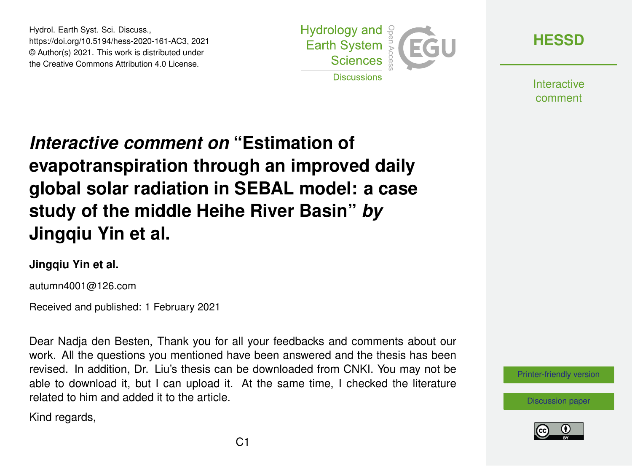Hydrol. Earth Syst. Sci. Discuss., https://doi.org/10.5194/hess-2020-161-AC3, 2021 © Author(s) 2021. This work is distributed under the Creative Commons Attribution 4.0 License.



**[HESSD](https://hess.copernicus.org/preprints/)**

**Interactive** comment

# *Interactive comment on* **"Estimation of evapotranspiration through an improved daily global solar radiation in SEBAL model: a case study of the middle Heihe River Basin"** *by* **Jingqiu Yin et al.**

#### **Jingqiu Yin et al.**

autumn4001@126.com

Received and published: 1 February 2021

Dear Nadja den Besten, Thank you for all your feedbacks and comments about our work. All the questions you mentioned have been answered and the thesis has been revised. In addition, Dr. Liu's thesis can be downloaded from CNKI. You may not be able to download it, but I can upload it. At the same time, I checked the literature related to him and added it to the article.

Kind regards,



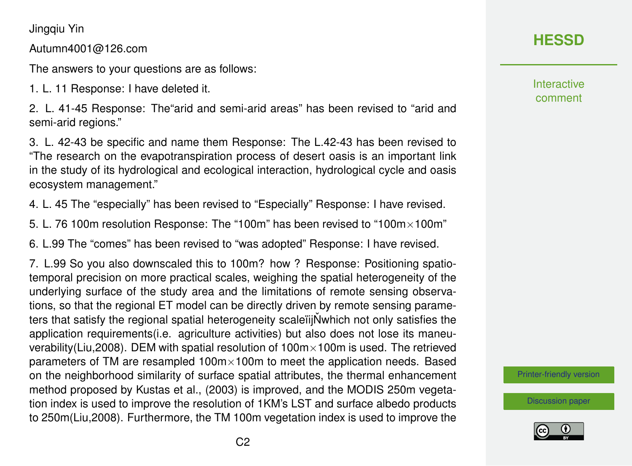Jingqiu Yin

Autumn4001@126.com

The answers to your questions are as follows:

1. L. 11 Response: I have deleted it.

2. L. 41-45 Response: The"arid and semi-arid areas" has been revised to "arid and semi-arid regions."

3. L. 42-43 be specific and name them Response: The L.42-43 has been revised to "The research on the evapotranspiration process of desert oasis is an important link in the study of its hydrological and ecological interaction, hydrological cycle and oasis ecosystem management."

4. L. 45 The "especially" has been revised to "Especially" Response: I have revised.

5. L. 76 100m resolution Response: The "100m" has been revised to "100m×100m"

6. L.99 The "comes" has been revised to "was adopted" Response: I have revised.

7. L.99 So you also downscaled this to 100m? how ? Response: Positioning spatiotemporal precision on more practical scales, weighing the spatial heterogeneity of the underlying surface of the study area and the limitations of remote sensing observations, so that the regional ET model can be directly driven by remote sensing parameters that satisfy the regional spatial heterogeneity scaleil N which not only satisfies the application requirements(i.e. agriculture activities) but also does not lose its maneuverability(Liu,2008). DEM with spatial resolution of  $100m \times 100m$  is used. The retrieved parameters of TM are resampled 100m×100m to meet the application needs. Based on the neighborhood similarity of surface spatial attributes, the thermal enhancement method proposed by Kustas et al., (2003) is improved, and the MODIS 250m vegetation index is used to improve the resolution of 1KM's LST and surface albedo products to 250m(Liu,2008). Furthermore, the TM 100m vegetation index is used to improve the

## **[HESSD](https://hess.copernicus.org/preprints/)**

Interactive comment

[Printer-friendly version](https://hess.copernicus.org/preprints/hess-2020-161/hess-2020-161-AC3-print.pdf)

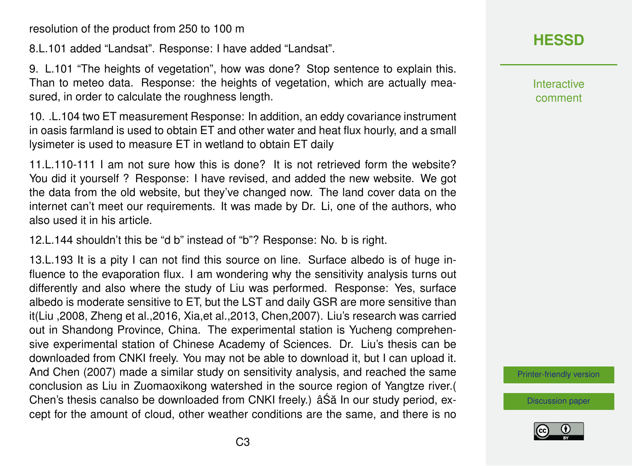resolution of the product from 250 to 100 m

8.L.101 added "Landsat". Response: I have added "Landsat".

9. L.101 "The heights of vegetation", how was done? Stop sentence to explain this. Than to meteo data. Response: the heights of vegetation, which are actually measured, in order to calculate the roughness length.

10. .L.104 two ET measurement Response: In addition, an eddy covariance instrument in oasis farmland is used to obtain ET and other water and heat flux hourly, and a small lysimeter is used to measure ET in wetland to obtain ET daily

11.L.110-111 I am not sure how this is done? It is not retrieved form the website? You did it yourself ? Response: I have revised, and added the new website. We got the data from the old website, but they've changed now. The land cover data on the internet can't meet our requirements. It was made by Dr. Li, one of the authors, who also used it in his article.

12.L.144 shouldn't this be "d b" instead of "b"? Response: No. b is right.

13.L.193 It is a pity I can not find this source on line. Surface albedo is of huge influence to the evaporation flux. I am wondering why the sensitivity analysis turns out differently and also where the study of Liu was performed. Response: Yes, surface albedo is moderate sensitive to ET, but the LST and daily GSR are more sensitive than it(Liu ,2008, Zheng et al.,2016, Xia,et al.,2013, Chen,2007). Liu's research was carried out in Shandong Province, China. The experimental station is Yucheng comprehensive experimental station of Chinese Academy of Sciences. Dr. Liu's thesis can be downloaded from CNKI freely. You may not be able to download it, but I can upload it. And Chen (2007) made a similar study on sensitivity analysis, and reached the same conclusion as Liu in Zuomaoxikong watershed in the source region of Yangtze river.( Chen's thesis canalso be downloaded from CNKI freely.) â Să In our study period, except for the amount of cloud, other weather conditions are the same, and there is no **[HESSD](https://hess.copernicus.org/preprints/)**

**Interactive** comment

[Printer-friendly version](https://hess.copernicus.org/preprints/hess-2020-161/hess-2020-161-AC3-print.pdf)

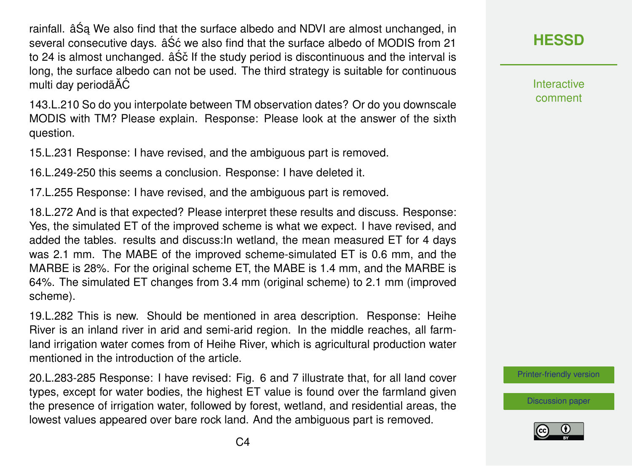rainfall. âŚa We also find that the surface albedo and NDVI are almost unchanged, in several consecutive days. âS<sup>'</sup> c we also find that the surface albedo of MODIS from 21 to 24 is almost unchanged. âSč If the study period is discontinuous and the interval is long, the surface albedo can not be used. The third strategy is suitable for continuous multi day periodãĂĆ

143.L.210 So do you interpolate between TM observation dates? Or do you downscale MODIS with TM? Please explain. Response: Please look at the answer of the sixth question.

15.L.231 Response: I have revised, and the ambiguous part is removed.

16.L.249-250 this seems a conclusion. Response: I have deleted it.

17.L.255 Response: I have revised, and the ambiguous part is removed.

18.L.272 And is that expected? Please interpret these results and discuss. Response: Yes, the simulated ET of the improved scheme is what we expect. I have revised, and added the tables. results and discuss:In wetland, the mean measured ET for 4 days was 2.1 mm. The MABE of the improved scheme-simulated ET is 0.6 mm, and the MARBE is 28%. For the original scheme ET, the MABE is 1.4 mm, and the MARBE is 64%. The simulated ET changes from 3.4 mm (original scheme) to 2.1 mm (improved scheme).

19.L.282 This is new. Should be mentioned in area description. Response: Heihe River is an inland river in arid and semi-arid region. In the middle reaches, all farmland irrigation water comes from of Heihe River, which is agricultural production water mentioned in the introduction of the article.

20.L.283-285 Response: I have revised: Fig. 6 and 7 illustrate that, for all land cover types, except for water bodies, the highest ET value is found over the farmland given the presence of irrigation water, followed by forest, wetland, and residential areas, the lowest values appeared over bare rock land. And the ambiguous part is removed.

Interactive comment

[Printer-friendly version](https://hess.copernicus.org/preprints/hess-2020-161/hess-2020-161-AC3-print.pdf)

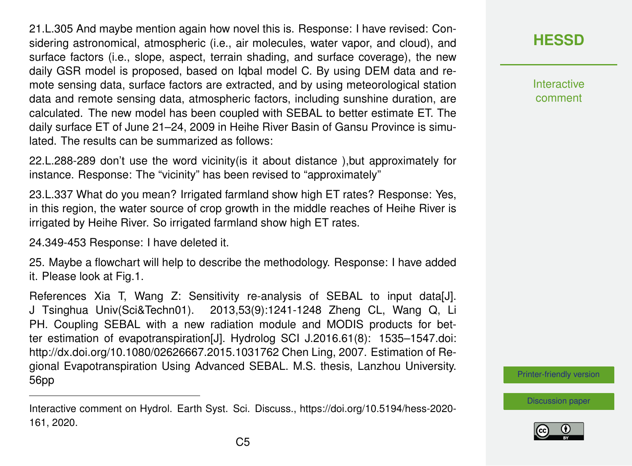21.L.305 And maybe mention again how novel this is. Response: I have revised: Considering astronomical, atmospheric (i.e., air molecules, water vapor, and cloud), and surface factors (i.e., slope, aspect, terrain shading, and surface coverage), the new daily GSR model is proposed, based on Iqbal model C. By using DEM data and remote sensing data, surface factors are extracted, and by using meteorological station data and remote sensing data, atmospheric factors, including sunshine duration, are calculated. The new model has been coupled with SEBAL to better estimate ET. The daily surface ET of June 21–24, 2009 in Heihe River Basin of Gansu Province is simulated. The results can be summarized as follows:

22.L.288-289 don't use the word vicinity(is it about distance ),but approximately for instance. Response: The "vicinity" has been revised to "approximately"

23.L.337 What do you mean? Irrigated farmland show high ET rates? Response: Yes, in this region, the water source of crop growth in the middle reaches of Heihe River is irrigated by Heihe River. So irrigated farmland show high ET rates.

24.349-453 Response: I have deleted it.

25. Maybe a flowchart will help to describe the methodology. Response: I have added it. Please look at Fig.1.

References Xia T, Wang Z: Sensitivity re-analysis of SEBAL to input data[J]. J Tsinghua Univ(Sci&Techn01). 2013,53(9):1241-1248 Zheng CL, Wang Q, Li PH. Coupling SEBAL with a new radiation module and MODIS products for better estimation of evapotranspiration[J]. Hydrolog SCI J.2016.61(8): 1535–1547.doi: http://dx.doi.org/10.1080/02626667.2015.1031762 Chen Ling, 2007. Estimation of Regional Evapotranspiration Using Advanced SEBAL. M.S. thesis, Lanzhou University. 56pp

**[HESSD](https://hess.copernicus.org/preprints/)**

**Interactive** comment

[Printer-friendly version](https://hess.copernicus.org/preprints/hess-2020-161/hess-2020-161-AC3-print.pdf)



Interactive comment on Hydrol. Earth Syst. Sci. Discuss., https://doi.org/10.5194/hess-2020- 161, 2020.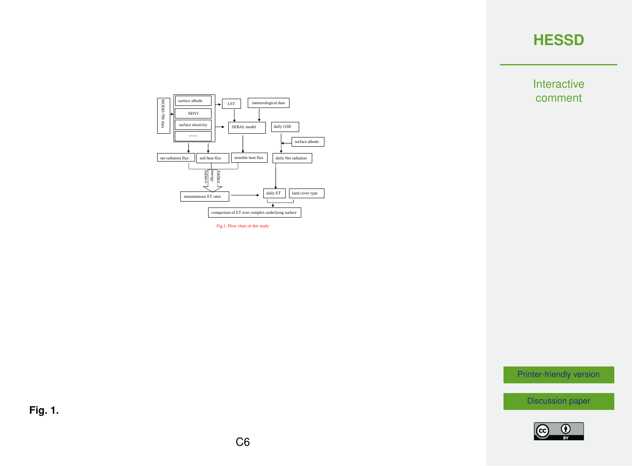Interactive comment



Fig.1. Flow chart of this study

[Printer-friendly version](https://hess.copernicus.org/preprints/hess-2020-161/hess-2020-161-AC3-print.pdf)

[Discussion paper](https://hess.copernicus.org/preprints/hess-2020-161)



**Fig. 1.**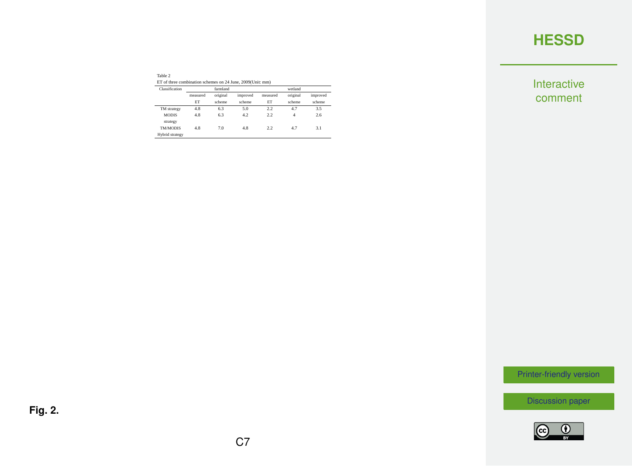Interactive comment

| Table 2                                                    |  |
|------------------------------------------------------------|--|
| ET of three combination schemes on 24 June, 2009(Unit: mm) |  |

| Classification              | farmland |          |          | wetland  |          |          |  |
|-----------------------------|----------|----------|----------|----------|----------|----------|--|
|                             | measured | original | improved | measured | original | improved |  |
|                             | ET       | scheme   | scheme   | ET       | scheme   | scheme   |  |
| TM strategy                 | 4.8      | 6.3      | 5.0      | 2.2      | 47       | 3.5      |  |
| <b>MODIS</b>                | 4.8      | 63       | 42       | 2.2      | 4        | 2.6      |  |
| strategy<br><b>TM/MODIS</b> | 4.8      | 7.0      | 4.8      | 2.2      | 47       | 31       |  |
| Hybrid strategy             |          |          |          |          |          |          |  |

[Printer-friendly version](https://hess.copernicus.org/preprints/hess-2020-161/hess-2020-161-AC3-print.pdf)

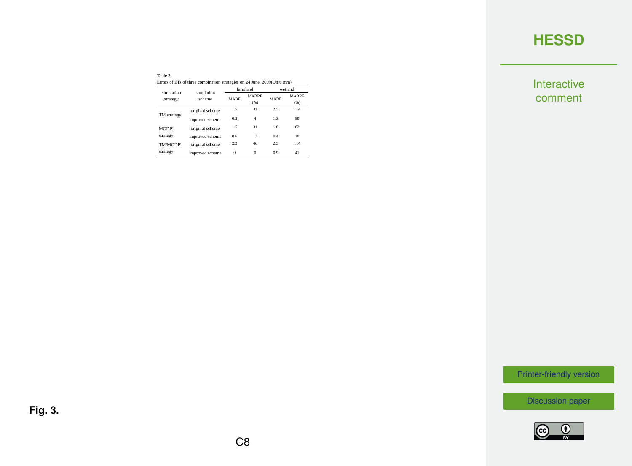Interactive comment

| Table 3                                                                  |  |
|--------------------------------------------------------------------------|--|
| Errors of ETs of three combination strategies on 24 June, 2009(Unit: mm) |  |

| simulation      | simulation      |             | farmland             | wetland     |                      |
|-----------------|-----------------|-------------|----------------------|-------------|----------------------|
| strategy        | scheme          | <b>MARE</b> | <b>MARRE</b><br>(% ) | <b>MARE</b> | <b>MARRE</b><br>(96) |
|                 | original scheme | 15          | 31                   | 2.5         | 114                  |
| TM strategy     | improved scheme | 02          | 4                    | 13          | 59                   |
| <b>MODIS</b>    | original scheme | 15          | 31                   | 18          | 82                   |
| strategy        | improved scheme | 0.6         | 13                   | 0.4         | 18                   |
| <b>TM/MODIS</b> | original scheme | 22          | 46                   | 2.5         | 114                  |
| strategy        | improved scheme | $\Omega$    | $\Omega$             | 09          | 41                   |

[Printer-friendly version](https://hess.copernicus.org/preprints/hess-2020-161/hess-2020-161-AC3-print.pdf)

[Discussion paper](https://hess.copernicus.org/preprints/hess-2020-161)



C8